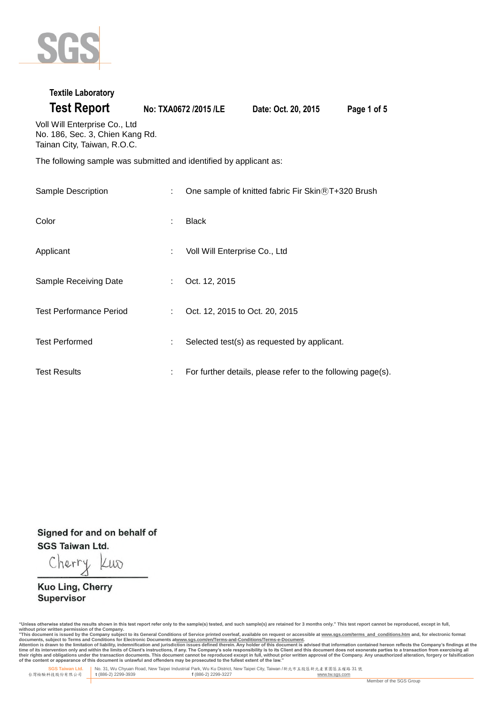

### **Textile Laboratory**

**Test Report No: TXA0672 /2015 /LE Date: Oct. 20, 2015 Page 1 of 5**

Voll Will Enterprise Co., Ltd No. 186, Sec. 3, Chien Kang Rd. Tainan City, Taiwan, R.O.C.

The following sample was submitted and identified by applicant as:

| Sample Description             | t.                          | One sample of knitted fabric Fir Skin®T+320 Brush           |
|--------------------------------|-----------------------------|-------------------------------------------------------------|
| Color                          | ÷                           | <b>Black</b>                                                |
| Applicant                      | t.                          | Voll Will Enterprise Co., Ltd                               |
| Sample Receiving Date          | $\mathcal{L}^{\mathcal{L}}$ | Oct. 12, 2015                                               |
| <b>Test Performance Period</b> | t.                          | Oct. 12, 2015 to Oct. 20, 2015                              |
| <b>Test Performed</b>          | t.                          | Selected test(s) as requested by applicant.                 |
| <b>Test Results</b>            | ÷.                          | For further details, please refer to the following page(s). |

Signed for and on behalf of **SGS Taiwan Ltd.** 

Cherry Lup

Kuo Ling, Cherry Supervisor

"Unless otherwise stated the results shown in this test report refer only to the sample(s) tested, and such sample(s) are retained for 3 months only." This test report cannot be reproduced, except in full,

without prior written permission of the Company.<br>"This document is issued by the Company subject to its General Conditions of Service printed overleaf, available on request or accessible at <u>www.sqs.com/terms and condition</u>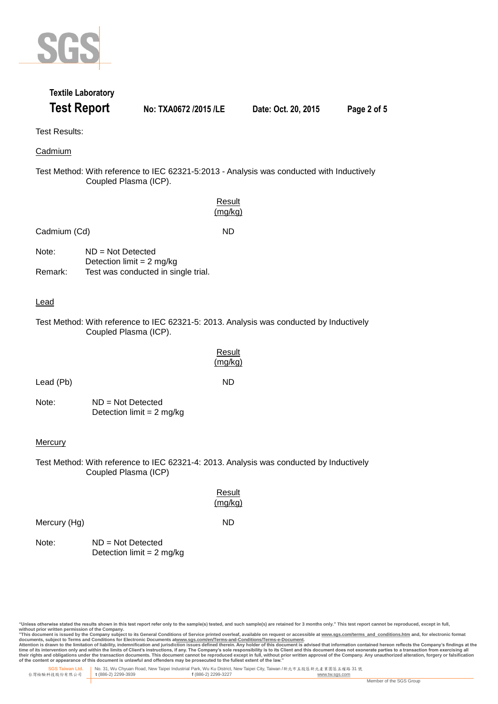

# **Textile Laboratory Test Report No: TXA0672 /2015 /LE Date: Oct. 20, 2015 Page 2 of 5**

Test Results:

Cadmium

Test Method: With reference to IEC 62321-5:2013 - Analysis was conducted with Inductively Coupled Plasma (ICP).

|                |                                                    | Result<br>(mg/kg)                                                                       |
|----------------|----------------------------------------------------|-----------------------------------------------------------------------------------------|
| Cadmium (Cd)   |                                                    | <b>ND</b>                                                                               |
| Note:          | $ND = Not$ Detected<br>Detection limit = $2$ mg/kg |                                                                                         |
| Remark:        | Test was conducted in single trial.                |                                                                                         |
| <u>Lead</u>    |                                                    |                                                                                         |
|                | Coupled Plasma (ICP).                              | Test Method: With reference to IEC 62321-5: 2013. Analysis was conducted by Inductively |
|                |                                                    | Result<br>(mg/kg)                                                                       |
| Lead (Pb)      |                                                    | <b>ND</b>                                                                               |
| Note:          | $ND = Not$ Detected<br>Detection limit = $2$ mg/kg |                                                                                         |
| <b>Mercury</b> |                                                    |                                                                                         |
|                | Coupled Plasma (ICP)                               | Test Method: With reference to IEC 62321-4: 2013. Analysis was conducted by Inductively |
|                |                                                    | Result<br>(mg/kg)                                                                       |
| Mercury (Hg)   |                                                    | <b>ND</b>                                                                               |
| Note:          | $ND = Not$ Detected<br>Detection limit = $2$ mg/kg |                                                                                         |
|                |                                                    |                                                                                         |

"Unless otherwise stated the results shown in this test report refer only to the sample(s) tested, and such sample(s) are retained for 3 months only." This test report cannot be reproduced, except in full,

without prior written permission of the Company.<br>"This document is issued by the Company subject to its General Conditions of Service printed overleaf, available on request or accessible at <u>www.sqs.com/terms and condition</u>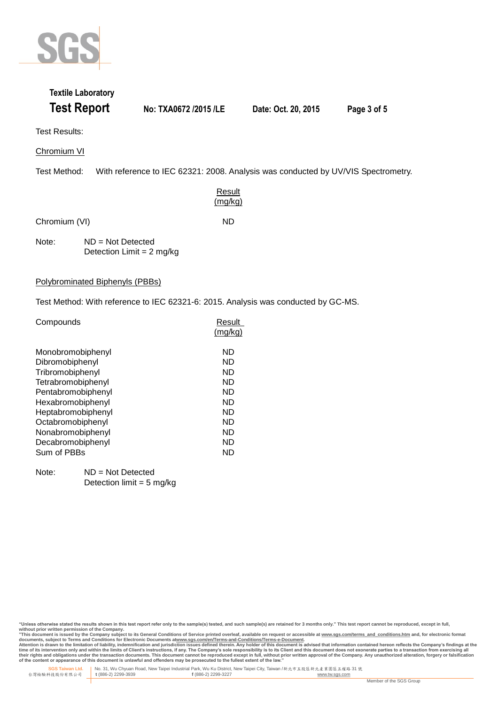

### **Textile Laboratory Test Report No: TXA0672 /2015 /LE Date: Oct. 20, 2015 Page 3 of 5**

Test Results:

Chromium VI

Test Method: With reference to IEC 62321: 2008. Analysis was conducted by UV/VIS Spectrometry.

**Result** (mg/kg)

Chromium (VI) ND

Note: ND = Not Detected Detection Limit  $= 2$  mg/kg

Polybrominated Biphenyls (PBBs)

Test Method: With reference to IEC 62321-6: 2015. Analysis was conducted by GC-MS.

| Compounds          | Result  |  |
|--------------------|---------|--|
|                    | (mg/kg) |  |
| Monobromobiphenyl  | ND      |  |
| Dibromobiphenyl    | ND      |  |
| Tribromobiphenyl   | ND      |  |
| Tetrabromobiphenyl | ND      |  |
| Pentabromobiphenyl | ND      |  |
| Hexabromobiphenyl  | ND      |  |
| Heptabromobiphenyl | ND      |  |
| Octabromobiphenyl  | ND      |  |
| Nonabromobiphenyl  | ND      |  |
| Decabromobiphenyl  | ND      |  |
| Sum of PBBs        | ND      |  |
|                    |         |  |

Note: ND = Not Detected Detection limit =  $5$  mg/kg

"Unless otherwise stated the results shown in this test report refer only to the sample(s) tested, and such sample(s) are retained for 3 months only." This test report cannot be reproduced, except in full, **without prior written permission of the Company.** 

"This document is issued by the Company subject to its General Conditions of Service printed overleaf, available on request or accessible at <u>www.sqs.com/terms and conditions.htm</u> and, for electronic format<br>documents, subj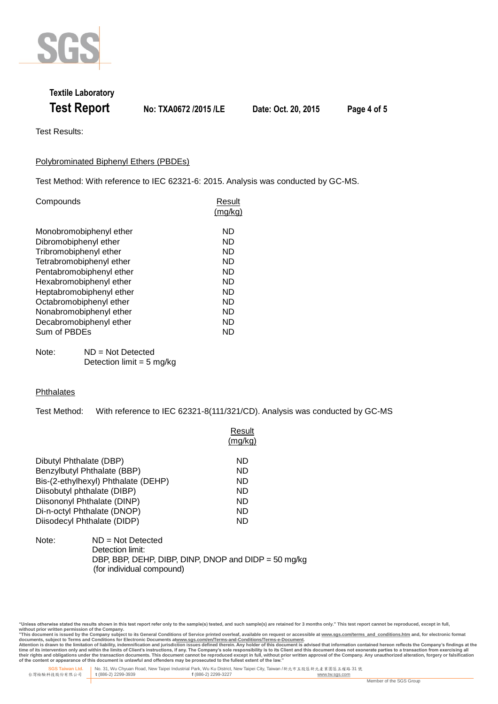

## **Textile Laboratory Test Report No: TXA0672 /2015 /LE Date: Oct. 20, 2015 Page 4 of 5**

Test Results:

### Polybrominated Biphenyl Ethers (PBDEs)

Test Method: With reference to IEC 62321-6: 2015. Analysis was conducted by GC-MS.

| Compounds                                        | Result<br>(mg/kg) |
|--------------------------------------------------|-------------------|
| Monobromobiphenyl ether<br>Dibromobiphenyl ether | ND<br>ND          |
| Tribromobiphenyl ether                           | ND                |
| Tetrabromobiphenyl ether                         | ND                |
| Pentabromobiphenyl ether                         | ND                |
| Hexabromobiphenyl ether                          | ND                |
| Heptabromobiphenyl ether                         | ND                |
| Octabromobiphenyl ether                          | ND                |
| Nonabromobiphenyl ether                          | ND                |
| Decabromobiphenyl ether                          | ND                |
| Sum of PBDEs                                     | ND                |

Note: ND = Not Detected Detection  $\lim_{x \to 5}$  ma/kg

#### **Phthalates**

Test Method: With reference to IEC 62321-8(111/321/CD). Analysis was conducted by GC-MS

|                                     | Result<br>(ma/ka) |
|-------------------------------------|-------------------|
| Dibutyl Phthalate (DBP)             | ND                |
| Benzylbutyl Phthalate (BBP)         | ND.               |
| Bis-(2-ethylhexyl) Phthalate (DEHP) | ND                |
| Diisobutyl phthalate (DIBP)         | ND                |
| Diisononyl Phthalate (DINP)         | ND                |
| Di-n-octyl Phthalate (DNOP)         | ND                |
| Diisodecyl Phthalate (DIDP)         | ND                |
|                                     |                   |

#### Note: ND = Not Detected Detection limit: DBP, BBP, DEHP, DIBP, DINP, DNOP and DIDP = 50 mg/kg (for individual compound)

"Unless otherwise stated the results shown in this test report refer only to the sample(s) tested, and such sample(s) are retained for 3 months only." This test report cannot be reproduced, except in full,

without prior written permission of the Company.<br>"This document is issued by the Company subject to its General Conditions of Service printed overleaf, available on request or accessible at <u>www.sqs.com/terms and condition</u>